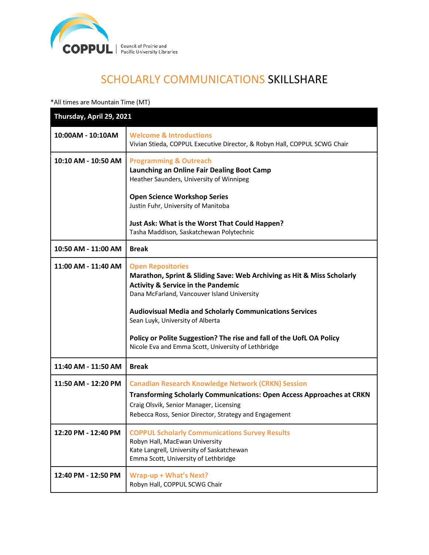

# SCHOLARLY COMMUNICATIONS SKILLSHARE

\*All times are Mountain Time (MT)

| Thursday, April 29, 2021 |                                                                                                                                                                                                                                                                                                                                                                                                                                         |
|--------------------------|-----------------------------------------------------------------------------------------------------------------------------------------------------------------------------------------------------------------------------------------------------------------------------------------------------------------------------------------------------------------------------------------------------------------------------------------|
| 10:00AM - 10:10AM        | <b>Welcome &amp; Introductions</b><br>Vivian Stieda, COPPUL Executive Director, & Robyn Hall, COPPUL SCWG Chair                                                                                                                                                                                                                                                                                                                         |
| 10:10 AM - 10:50 AM      | <b>Programming &amp; Outreach</b><br>Launching an Online Fair Dealing Boot Camp<br>Heather Saunders, University of Winnipeg<br><b>Open Science Workshop Series</b><br>Justin Fuhr, University of Manitoba<br>Just Ask: What is the Worst That Could Happen?<br>Tasha Maddison, Saskatchewan Polytechnic                                                                                                                                 |
| 10:50 AM - 11:00 AM      | <b>Break</b>                                                                                                                                                                                                                                                                                                                                                                                                                            |
| 11:00 AM - 11:40 AM      | <b>Open Repositories</b><br>Marathon, Sprint & Sliding Save: Web Archiving as Hit & Miss Scholarly<br><b>Activity &amp; Service in the Pandemic</b><br>Dana McFarland, Vancouver Island University<br><b>Audiovisual Media and Scholarly Communications Services</b><br>Sean Luyk, University of Alberta<br>Policy or Polite Suggestion? The rise and fall of the UofL OA Policy<br>Nicole Eva and Emma Scott, University of Lethbridge |
| 11:40 AM - 11:50 AM      | <b>Break</b>                                                                                                                                                                                                                                                                                                                                                                                                                            |
| 11:50 AM - 12:20 PM      | <b>Canadian Research Knowledge Network (CRKN) Session</b><br><b>Transforming Scholarly Communications: Open Access Approaches at CRKN</b><br>Craig Olsvik, Senior Manager, Licensing<br>Rebecca Ross, Senior Director, Strategy and Engagement                                                                                                                                                                                          |
| 12:20 PM - 12:40 PM      | <b>COPPUL Scholarly Communications Survey Results</b><br>Robyn Hall, MacEwan University<br>Kate Langrell, University of Saskatchewan<br>Emma Scott, University of Lethbridge                                                                                                                                                                                                                                                            |
| 12:40 PM - 12:50 PM      | Wrap-up + What's Next?<br>Robyn Hall, COPPUL SCWG Chair                                                                                                                                                                                                                                                                                                                                                                                 |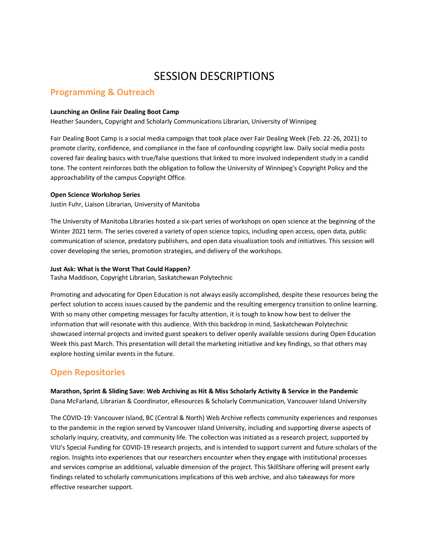## SESSION DESCRIPTIONS

### **Programming & Outreach**

#### **Launching an Online Fair Dealing Boot Camp**

Heather Saunders, Copyright and Scholarly Communications Librarian, University of Winnipeg

Fair Dealing Boot Camp is a social media campaign that took place over Fair Dealing Week (Feb. 22-26, 2021) to promote clarity, confidence, and compliance in the face of confounding copyright law. Daily social media posts covered fair dealing basics with true/false questions that linked to more involved independent study in a candid tone. The content reinforces both the obligation to follow the University of Winnipeg's Copyright Policy and the approachability of the campus Copyright Office.

#### **Open Science Workshop Series**

Justin Fuhr, Liaison Librarian, University of Manitoba

The University of Manitoba Libraries hosted a six-part series of workshops on open science at the beginning of the Winter 2021 term. The series covered a variety of open science topics, including open access, open data, public communication of science, predatory publishers, and open data visualization tools and initiatives. This session will cover developing the series, promotion strategies, and delivery of the workshops.

#### **Just Ask: What is the Worst That Could Happen?**

Tasha Maddison, Copyright Librarian, Saskatchewan Polytechnic

Promoting and advocating for Open Education is not always easily accomplished, despite these resources being the perfect solution to access issues caused by the pandemic and the resulting emergency transition to online learning. With so many other competing messages for faculty attention, it is tough to know how best to deliver the information that will resonate with this audience. With this backdrop in mind, Saskatchewan Polytechnic showcased internal projects and invited guest speakers to deliver openly available sessions during Open Education Week this past March. This presentation will detail the marketing initiative and key findings, so that others may explore hosting similar events in the future.

## **Open Repositories**

**Marathon, Sprint & Sliding Save: Web Archiving as Hit & Miss Scholarly Activity & Service in the Pandemic** Dana McFarland, Librarian & Coordinator, eResources & Scholarly Communication, Vancouver Island University

The COVID-19: Vancouver Island, BC (Central & North) Web Archive reflects community experiences and responses to the pandemic in the region served by Vancouver Island University, including and supporting diverse aspects of scholarly inquiry, creativity, and community life. The collection was initiated as a research project, supported by VIU's Special Funding for COVID-19 research projects, and is intended to support current and future scholars of the region. Insights into experiences that our researchers encounter when they engage with institutional processes and services comprise an additional, valuable dimension of the project. This SkillShare offering will present early findings related to scholarly communications implications of this web archive, and also takeaways for more effective researcher support.